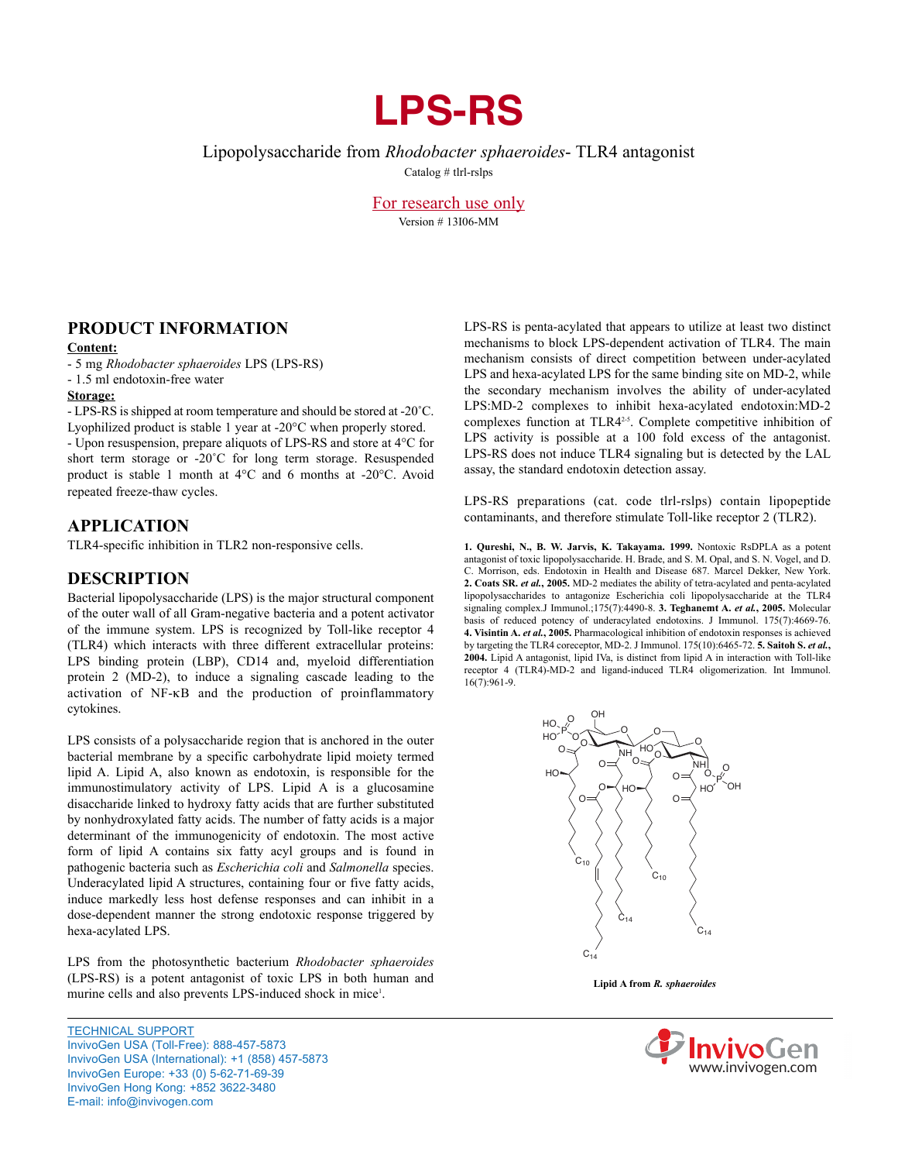# **LPS-RS**

Lipopolysaccharide from *Rhodobacter sphaeroides*- TLR4 antagonist

Catalog # tlrl-rslps

For research use only Version # 13I06-MM

## **PRoduCT iNfoRmATioN**

### **Content:**

- 5 mg *Rhodobacter sphaeroides* LPS (LPS-RS)
- 1.5 ml endotoxin-free water

## **Storage:**

- LPS-RS is shipped at room temperature and should be stored at -20˚C. Lyophilized product is stable 1 year at -20°C when properly stored.

- Upon resuspension, prepare aliquots of LPS-RS and store at 4°C for short term storage or -20˚C for long term storage. Resuspended product is stable 1 month at 4°C and 6 months at -20°C. Avoid repeated freeze-thaw cycles.

## **APPLiCATioN**

TLR4-specific inhibition in TLR2 non-responsive cells.

## **deSCRiPTioN**

Bacterial lipopolysaccharide (LPS) is the major structural component of the outer wall of all Gram-negative bacteria and a potent activator of the immune system. LPS is recognized by Toll-like receptor 4 (TLR4) which interacts with three different extracellular proteins: LPS binding protein (LBP), CD14 and, myeloid differentiation protein 2 (MD-2), to induce a signaling cascade leading to the activation of NF-kB and the production of proinflammatory cytokines.

LPS consists of a polysaccharide region that is anchored in the outer bacterial membrane by a specific carbohydrate lipid moiety termed lipid A. Lipid A, also known as endotoxin, is responsible for the immunostimulatory activity of LPS. Lipid A is a glucosamine disaccharide linked to hydroxy fatty acids that are further substituted by nonhydroxylated fatty acids. The number of fatty acids is a major determinant of the immunogenicity of endotoxin. The most active form of lipid A contains six fatty acyl groups and is found in pathogenic bacteria such as *Escherichia coli* and *Salmonella* species. Underacylated lipid A structures, containing four or five fatty acids, induce markedly less host defense responses and can inhibit in a dose-dependent manner the strong endotoxic response triggered by hexa-acylated LPS.

LPS from the photosynthetic bacterium *Rhodobacter sphaeroides* (LPS-RS) is a potent antagonist of toxic LPS in both human and murine cells and also prevents LPS-induced shock in mice<sup>1</sup>.

TECHNICAL SUPPORT InvivoGen USA (Toll-Free): 888-457-5873 InvivoGen USA (International): +1 (858) 457‑5873 InvivoGen Europe: +33 (0) 5‑62‑71‑69‑39 InvivoGen Hong Kong: +852 3622‑3480 E‑mail: info@invivogen.com

LPS-RS is penta-acylated that appears to utilize at least two distinct mechanisms to block LPS-dependent activation of TLR4. The main mechanism consists of direct competition between under-acylated LPS and hexa-acylated LPS for the same binding site on MD-2, while the secondary mechanism involves the ability of under-acylated LPS:MD-2 complexes to inhibit hexa-acylated endotoxin:MD-2 complexes function at TLR42-5. Complete competitive inhibition of LPS activity is possible at a 100 fold excess of the antagonist. LPS-RS does not induce TLR4 signaling but is detected by the LAL assay, the standard endotoxin detection assay.

LPS-RS preparations (cat. code tlrl-rslps) contain lipopeptide contaminants, and therefore stimulate Toll-like receptor 2 (TLR2).

**1. Qureshi, N., B. W. Jarvis, K. Takayama. 1999.** Nontoxic RsDPLA as a potent antagonist of toxic lipopolysaccharide. H. Brade, and S. M. Opal, and S. N. Vogel, and D. C. Morrison, eds. Endotoxin in Health and Disease 687. Marcel Dekker, New York. **2. Coats SR.** *et al.***, 2005.** MD-2 mediates the ability of tetra-acylated and penta-acylated lipopolysaccharides to antagonize Escherichia coli lipopolysaccharide at the TLR4 signaling complex.J Immunol.;175(7):4490-8. **3. Teghanemt A.** *et al.***, 2005.** Molecular basis of reduced potency of underacylated endotoxins. J Immunol. 175(7):4669-76. **4. Visintin A.** *et al.***, 2005.** Pharmacological inhibition of endotoxin responses is achieved by targeting the TLR4 coreceptor, MD-2. J Immunol. 175(10):6465-72. **5. Saitoh S.** *et al.***, 2004.** Lipid A antagonist, lipid IVa, is distinct from lipid A in interaction with Toll-like receptor 4 (TLR4)-MD-2 and ligand-induced TLR4 oligomerization. Int Immunol. 16(7):961-9.



**Lipid A from** *R. sphaeroides*